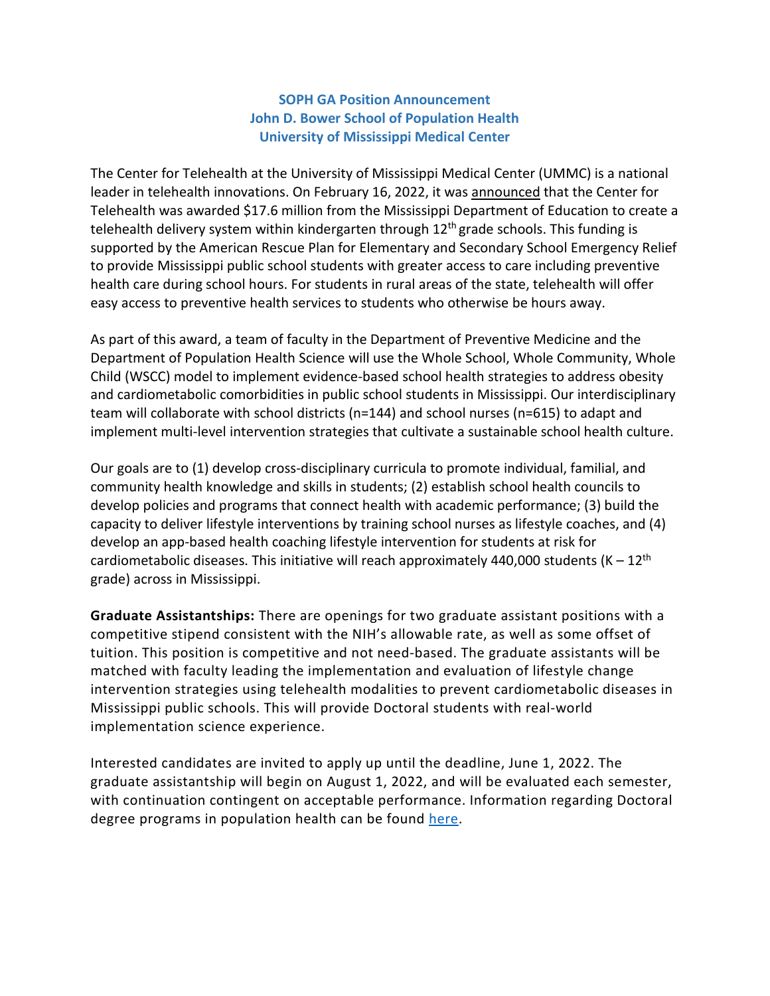#### **SOPH GA Position Announcement John D. Bower School of Population Health University of Mississippi Medical Center**

The Center for Telehealth at the University of Mississippi Medical Center (UMMC) is a national leader in telehealth innovations. On February 16, 2022, it was [announced](https://www.umc.edu/news/News_Articles/2022/02/Telehealth-Grant.html) that the Center for Telehealth was awarded \$17.6 million from the Mississippi Department of Education to create a telehealth delivery system within kindergarten through  $12<sup>th</sup>$  grade schools. This funding is supported by the American Rescue Plan for Elementary and Secondary School Emergency Relief to provide Mississippi public school students with greater access to care including preventive health care during school hours. For students in rural areas of the state, telehealth will offer easy access to preventive health services to students who otherwise be hours away.

As part of this award, a team of faculty in the Department of Preventive Medicine and the Department of Population Health Science will use the Whole School, Whole Community, Whole Child (WSCC) model to implement evidence-based school health strategies to address obesity and cardiometabolic comorbidities in public school students in Mississippi. Our interdisciplinary team will collaborate with school districts (n=144) and school nurses (n=615) to adapt and implement multi-level intervention strategies that cultivate a sustainable school health culture.

Our goals are to (1) develop cross-disciplinary curricula to promote individual, familial, and community health knowledge and skills in students; (2) establish school health councils to develop policies and programs that connect health with academic performance; (3) build the capacity to deliver lifestyle interventions by training school nurses as lifestyle coaches, and (4) develop an app-based health coaching lifestyle intervention for students at risk for cardiometabolic diseases. This initiative will reach approximately 440,000 students  $(K - 12<sup>th</sup>)$ grade) across in Mississippi.

**Graduate Assistantships:** There are openings for two graduate assistant positions with a competitive stipend consistent with the NIH's allowable rate, as well as some offset of tuition. This position is competitive and not need-based. The graduate assistants will be matched with faculty leading the implementation and evaluation of lifestyle change intervention strategies using telehealth modalities to prevent cardiometabolic diseases in Mississippi public schools. This will provide Doctoral students with real-world implementation science experience.

Interested candidates are invited to apply up until the deadline, June 1, 2022. The graduate assistantship will begin on August 1, 2022, and will be evaluated each semester, with continuation contingent on acceptable performance. Information regarding Doctoral degree programs in population health can be found [here.](https://www.umc.edu/SoPH/Departments-and-Faculty/Population-Health-Science/Education/PhD-Population-Health-Science/PhD-in-Population-Health-Science.html)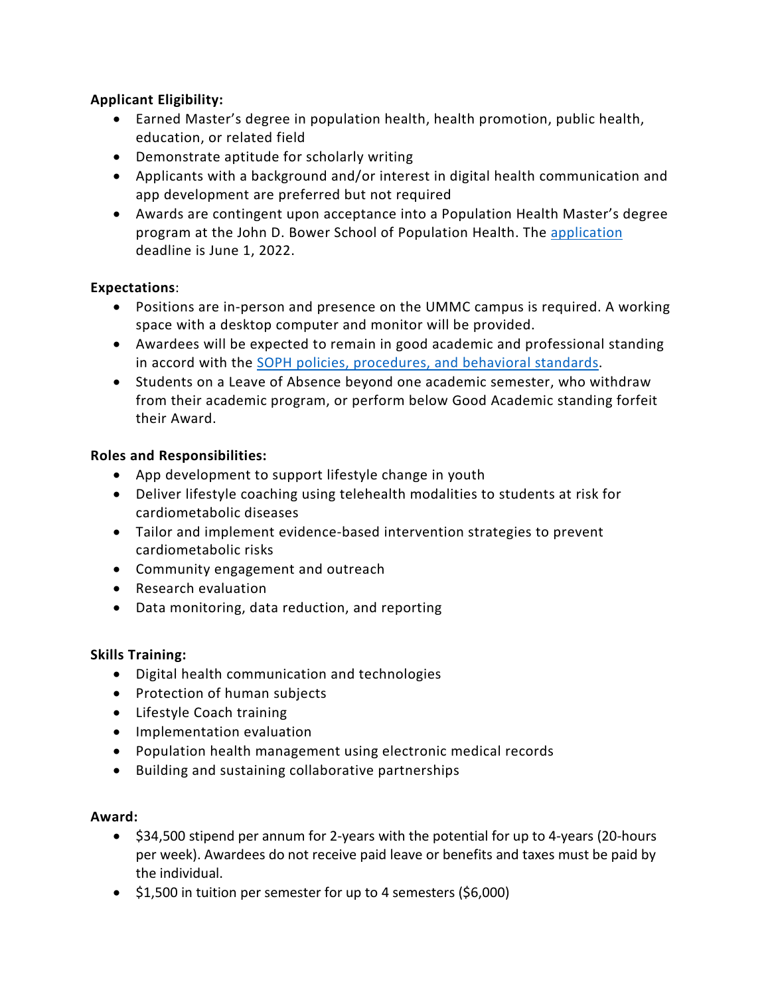## **Applicant Eligibility:**

- Earned Master's degree in population health, health promotion, public health, education, or related field
- Demonstrate aptitude for scholarly writing
- Applicants with a background and/or interest in digital health communication and app development are preferred but not required
- Awards are contingent upon acceptance into a Population Health Master's degree program at the John D. Bower School of Population Health. The [application](https://www.umc.edu/SoPH/Prospective-Students/Admission%20Requirements,%20Deadlines%20and%20Procedures.html) deadline is June 1, 2022.

# **Expectations**:

- Positions are in-person and presence on the UMMC campus is required. A working space with a desktop computer and monitor will be provided.
- Awardees will be expected to remain in good academic and professional standing in accord with the [SOPH policies, procedures, and behavioral standards.](https://www.umc.edu/SoPH/Departments-and-Faculty/Faculty%20Policies%20and%20Procedures/Policies-and-Procedures.html)
- Students on a Leave of Absence beyond one academic semester, who withdraw from their academic program, or perform below Good Academic standing forfeit their Award.

## **Roles and Responsibilities:**

- App development to support lifestyle change in youth
- Deliver lifestyle coaching using telehealth modalities to students at risk for cardiometabolic diseases
- Tailor and implement evidence-based intervention strategies to prevent cardiometabolic risks
- Community engagement and outreach
- Research evaluation
- Data monitoring, data reduction, and reporting

### **Skills Training:**

- Digital health communication and technologies
- Protection of human subjects
- Lifestyle Coach training
- Implementation evaluation
- Population health management using electronic medical records
- Building and sustaining collaborative partnerships

### **Award:**

- \$34,500 stipend per annum for 2-years with the potential for up to 4-years (20-hours per week). Awardees do not receive paid leave or benefits and taxes must be paid by the individual.
- \$1,500 in tuition per semester for up to 4 semesters (\$6,000)